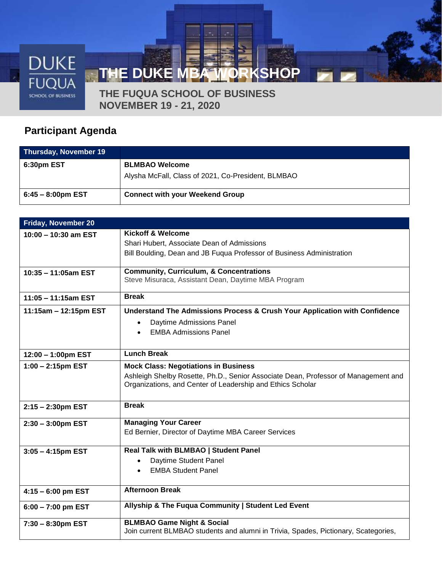

**THE FUQUA SCHOOL OF BUSINESS NOVEMBER 19 - 21, 2020**

## **Participant Agenda**

| <b>Thursday, November 19</b> |                                                                             |
|------------------------------|-----------------------------------------------------------------------------|
| 6:30pm EST                   | <b>BLMBAO Welcome</b><br>Alysha McFall, Class of 2021, Co-President, BLMBAO |
| $6:45 - 8:00$ pm EST         | <b>Connect with your Weekend Group</b>                                      |

| Friday, November 20    |                                                                                     |
|------------------------|-------------------------------------------------------------------------------------|
| 10:00 - 10:30 am EST   | <b>Kickoff &amp; Welcome</b>                                                        |
|                        | Shari Hubert, Associate Dean of Admissions                                          |
|                        | Bill Boulding, Dean and JB Fuqua Professor of Business Administration               |
|                        | <b>Community, Curriculum, &amp; Concentrations</b>                                  |
| 10:35 - 11:05am EST    | Steve Misuraca, Assistant Dean, Daytime MBA Program                                 |
|                        |                                                                                     |
| $11:05 - 11:15$ am EST | <b>Break</b>                                                                        |
| 11:15am - 12:15pm EST  | Understand The Admissions Process & Crush Your Application with Confidence          |
|                        | Daytime Admissions Panel<br>$\bullet$                                               |
|                        | <b>EMBA Admissions Panel</b>                                                        |
|                        |                                                                                     |
| 12:00 - 1:00pm EST     | <b>Lunch Break</b>                                                                  |
| $1:00 - 2:15$ pm EST   | <b>Mock Class: Negotiations in Business</b>                                         |
|                        | Ashleigh Shelby Rosette, Ph.D., Senior Associate Dean, Professor of Management and  |
|                        | Organizations, and Center of Leadership and Ethics Scholar                          |
|                        | <b>Break</b>                                                                        |
| 2:15 - 2:30pm EST      |                                                                                     |
| $2:30 - 3:00$ pm EST   | <b>Managing Your Career</b>                                                         |
|                        | Ed Bernier, Director of Daytime MBA Career Services                                 |
|                        | Real Talk with BLMBAO   Student Panel                                               |
| $3:05 - 4:15$ pm EST   | Daytime Student Panel<br>$\bullet$                                                  |
|                        | <b>EMBA Student Panel</b><br>$\bullet$                                              |
|                        |                                                                                     |
| $4:15 - 6:00$ pm EST   | <b>Afternoon Break</b>                                                              |
| $6:00 - 7:00$ pm EST   | Allyship & The Fuqua Community   Student Led Event                                  |
| $7:30 - 8:30$ pm EST   | <b>BLMBAO Game Night &amp; Social</b>                                               |
|                        | Join current BLMBAO students and alumni in Trivia, Spades, Pictionary, Scategories, |